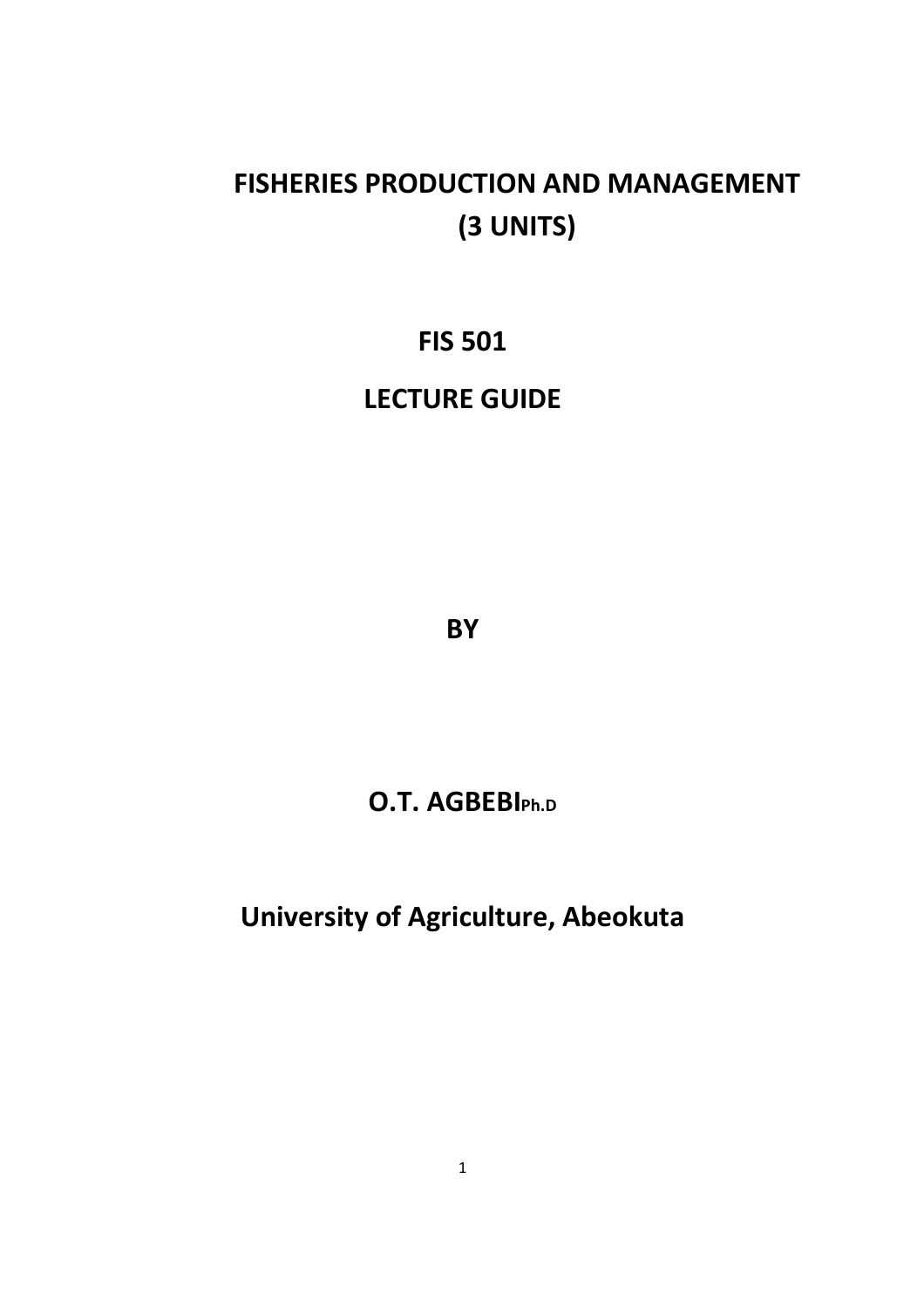## **FISHERIES PRODUCTION AND MANAGEMENT (3 UNITS)**

## **FIS 501**

### **LECTURE GUIDE**

**BY** 

## **O.T. AGBEBIPh.D**

**University of Agriculture, Abeokuta**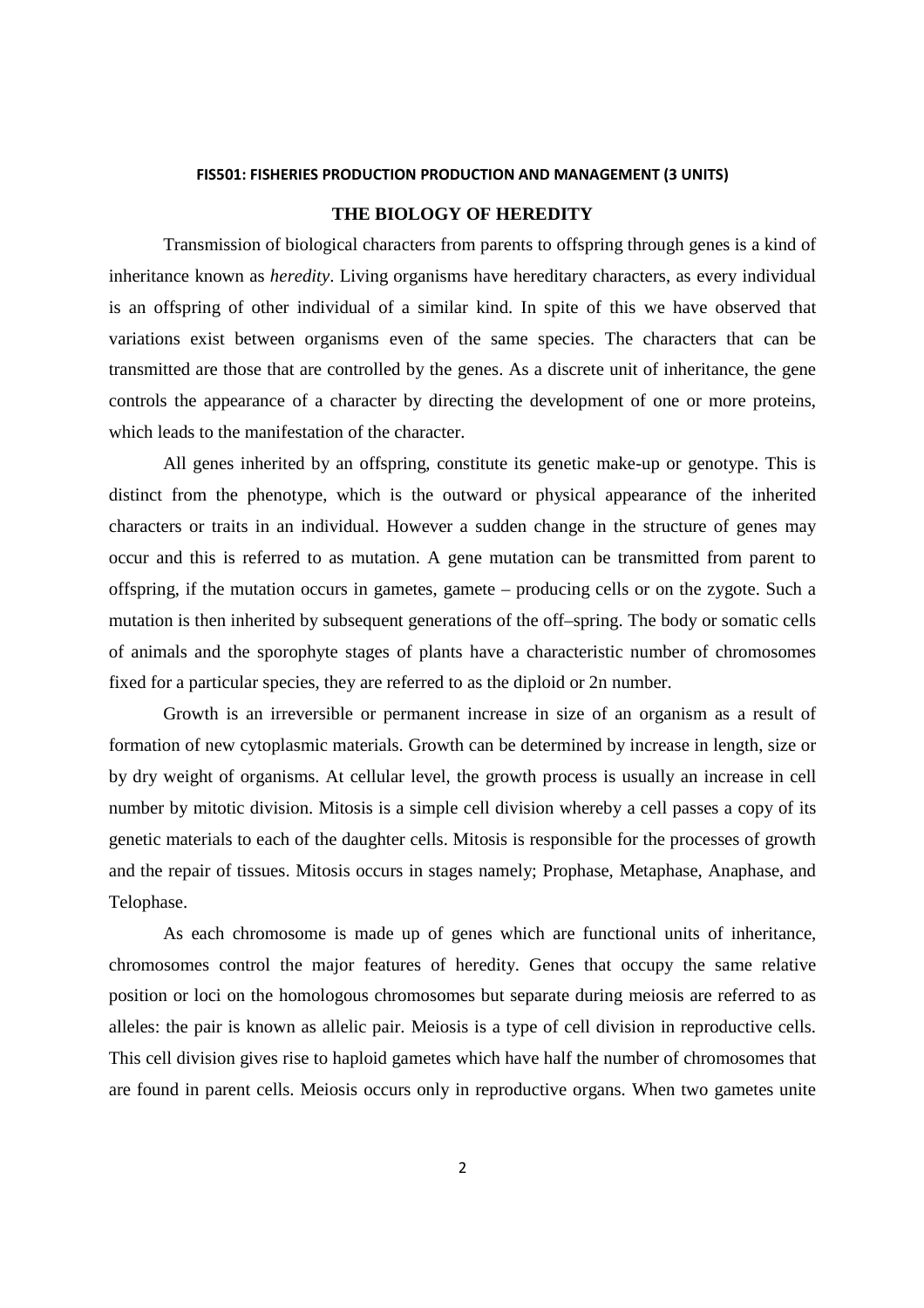#### **FIS501: FISHERIES PRODUCTION PRODUCTION AND MANAGEMENT (3 UNITS)**

### **THE BIOLOGY OF HEREDITY**

Transmission of biological characters from parents to offspring through genes is a kind of inheritance known as *heredity*. Living organisms have hereditary characters, as every individual is an offspring of other individual of a similar kind. In spite of this we have observed that variations exist between organisms even of the same species. The characters that can be transmitted are those that are controlled by the genes. As a discrete unit of inheritance, the gene controls the appearance of a character by directing the development of one or more proteins, which leads to the manifestation of the character.

All genes inherited by an offspring, constitute its genetic make-up or genotype. This is distinct from the phenotype, which is the outward or physical appearance of the inherited characters or traits in an individual. However a sudden change in the structure of genes may occur and this is referred to as mutation. A gene mutation can be transmitted from parent to offspring, if the mutation occurs in gametes, gamete – producing cells or on the zygote. Such a mutation is then inherited by subsequent generations of the off–spring. The body or somatic cells of animals and the sporophyte stages of plants have a characteristic number of chromosomes fixed for a particular species, they are referred to as the diploid or 2n number.

Growth is an irreversible or permanent increase in size of an organism as a result of formation of new cytoplasmic materials. Growth can be determined by increase in length, size or by dry weight of organisms. At cellular level, the growth process is usually an increase in cell number by mitotic division. Mitosis is a simple cell division whereby a cell passes a copy of its genetic materials to each of the daughter cells. Mitosis is responsible for the processes of growth and the repair of tissues. Mitosis occurs in stages namely; Prophase, Metaphase, Anaphase, and Telophase.

As each chromosome is made up of genes which are functional units of inheritance, chromosomes control the major features of heredity. Genes that occupy the same relative position or loci on the homologous chromosomes but separate during meiosis are referred to as alleles: the pair is known as allelic pair. Meiosis is a type of cell division in reproductive cells. This cell division gives rise to haploid gametes which have half the number of chromosomes that are found in parent cells. Meiosis occurs only in reproductive organs. When two gametes unite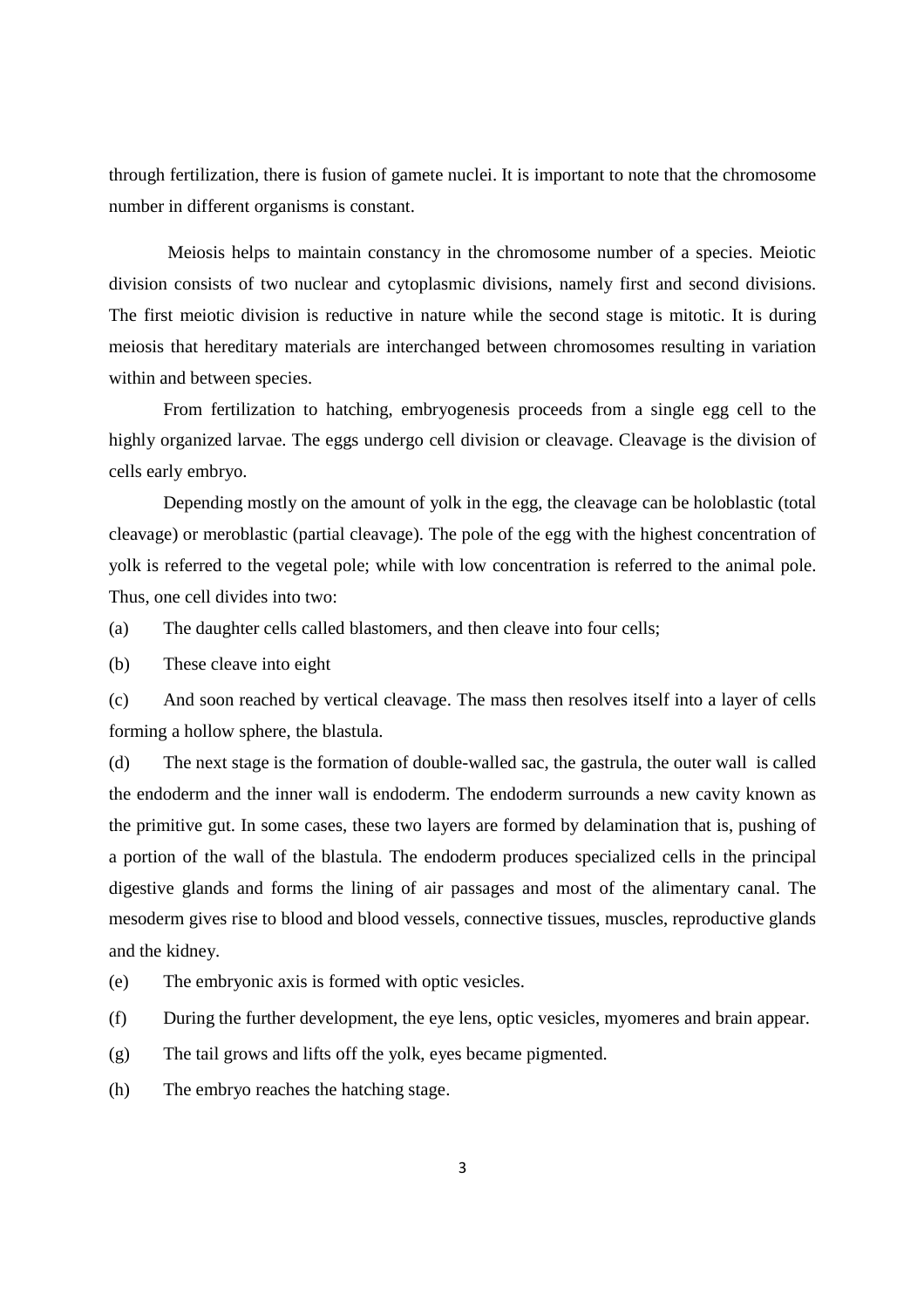through fertilization, there is fusion of gamete nuclei. It is important to note that the chromosome number in different organisms is constant.

 Meiosis helps to maintain constancy in the chromosome number of a species. Meiotic division consists of two nuclear and cytoplasmic divisions, namely first and second divisions. The first meiotic division is reductive in nature while the second stage is mitotic. It is during meiosis that hereditary materials are interchanged between chromosomes resulting in variation within and between species.

 From fertilization to hatching, embryogenesis proceeds from a single egg cell to the highly organized larvae. The eggs undergo cell division or cleavage. Cleavage is the division of cells early embryo.

 Depending mostly on the amount of yolk in the egg, the cleavage can be holoblastic (total cleavage) or meroblastic (partial cleavage). The pole of the egg with the highest concentration of yolk is referred to the vegetal pole; while with low concentration is referred to the animal pole. Thus, one cell divides into two:

(a) The daughter cells called blastomers, and then cleave into four cells;

(b) These cleave into eight

(c) And soon reached by vertical cleavage. The mass then resolves itself into a layer of cells forming a hollow sphere, the blastula.

(d) The next stage is the formation of double-walled sac, the gastrula, the outer wall is called the endoderm and the inner wall is endoderm. The endoderm surrounds a new cavity known as the primitive gut. In some cases, these two layers are formed by delamination that is, pushing of a portion of the wall of the blastula. The endoderm produces specialized cells in the principal digestive glands and forms the lining of air passages and most of the alimentary canal. The mesoderm gives rise to blood and blood vessels, connective tissues, muscles, reproductive glands and the kidney.

(e) The embryonic axis is formed with optic vesicles.

(f) During the further development, the eye lens, optic vesicles, myomeres and brain appear.

(g) The tail grows and lifts off the yolk, eyes became pigmented.

(h) The embryo reaches the hatching stage.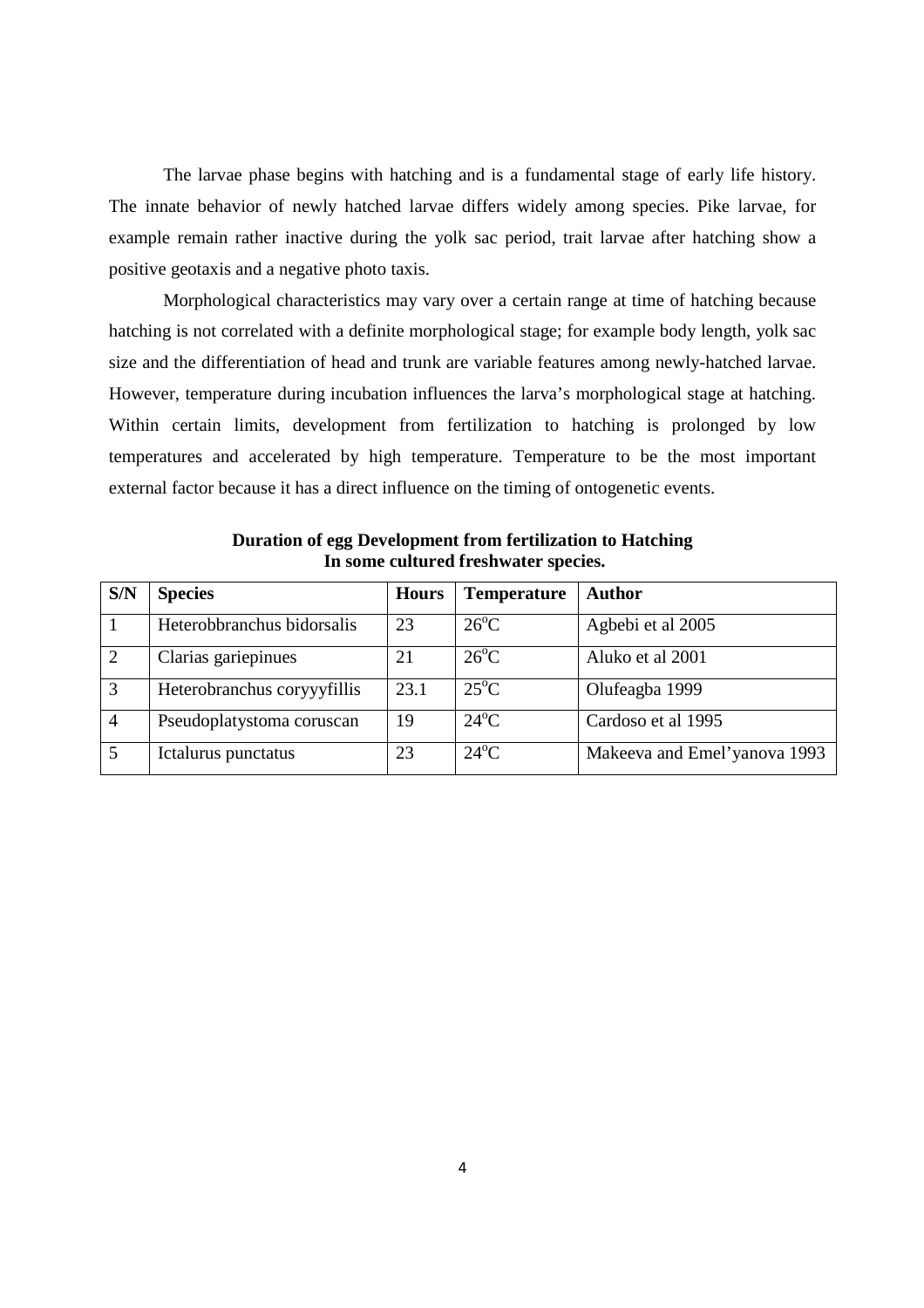The larvae phase begins with hatching and is a fundamental stage of early life history. The innate behavior of newly hatched larvae differs widely among species. Pike larvae, for example remain rather inactive during the yolk sac period, trait larvae after hatching show a positive geotaxis and a negative photo taxis.

 Morphological characteristics may vary over a certain range at time of hatching because hatching is not correlated with a definite morphological stage; for example body length, yolk sac size and the differentiation of head and trunk are variable features among newly-hatched larvae. However, temperature during incubation influences the larva's morphological stage at hatching. Within certain limits, development from fertilization to hatching is prolonged by low temperatures and accelerated by high temperature. Temperature to be the most important external factor because it has a direct influence on the timing of ontogenetic events.

| S/N            | <b>Species</b>              | <b>Hours</b> | <b>Temperature</b> | <b>Author</b>                |
|----------------|-----------------------------|--------------|--------------------|------------------------------|
|                | Heterobbranchus bidorsalis  | 23           | $26^{\circ}$ C     | Agbebi et al 2005            |
| $\overline{2}$ | Clarias gariepinues         | 21           | $26^{\circ}$ C     | Aluko et al 2001             |
| 3              | Heterobranchus coryyyfillis | 23.1         | $25^{\circ}$ C     | Olufeagba 1999               |
| $\overline{4}$ | Pseudoplatystoma coruscan   | 19           | $24^{\circ}$ C     | Cardoso et al 1995           |
| 5              | Ictalurus punctatus         | 23           | $24^{\circ}$ C     | Makeeva and Emel'yanova 1993 |

**Duration of egg Development from fertilization to Hatching In some cultured freshwater species.**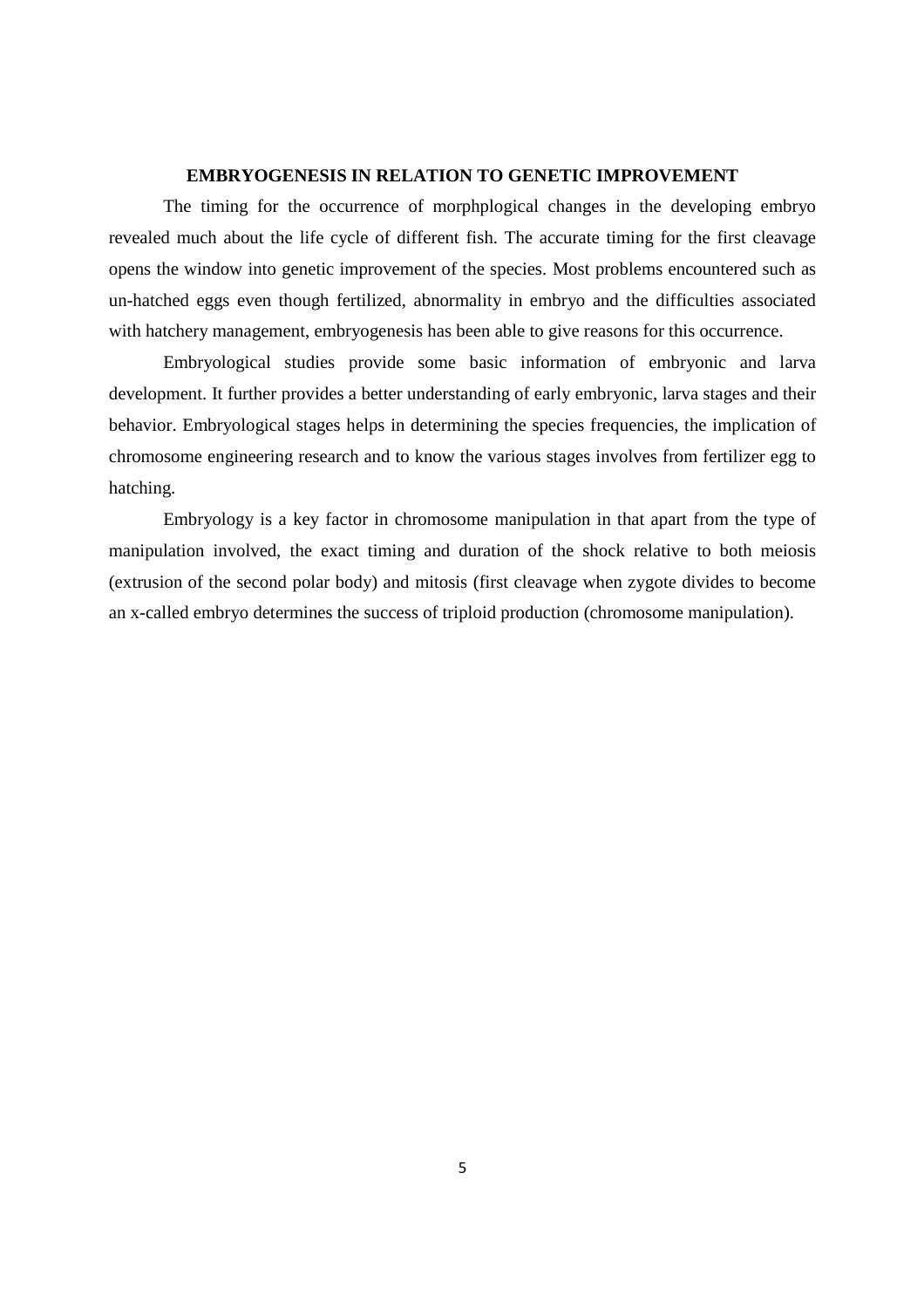#### **EMBRYOGENESIS IN RELATION TO GENETIC IMPROVEMENT**

 The timing for the occurrence of morphplogical changes in the developing embryo revealed much about the life cycle of different fish. The accurate timing for the first cleavage opens the window into genetic improvement of the species. Most problems encountered such as un-hatched eggs even though fertilized, abnormality in embryo and the difficulties associated with hatchery management, embryogenesis has been able to give reasons for this occurrence.

 Embryological studies provide some basic information of embryonic and larva development. It further provides a better understanding of early embryonic, larva stages and their behavior. Embryological stages helps in determining the species frequencies, the implication of chromosome engineering research and to know the various stages involves from fertilizer egg to hatching.

 Embryology is a key factor in chromosome manipulation in that apart from the type of manipulation involved, the exact timing and duration of the shock relative to both meiosis (extrusion of the second polar body) and mitosis (first cleavage when zygote divides to become an x-called embryo determines the success of triploid production (chromosome manipulation).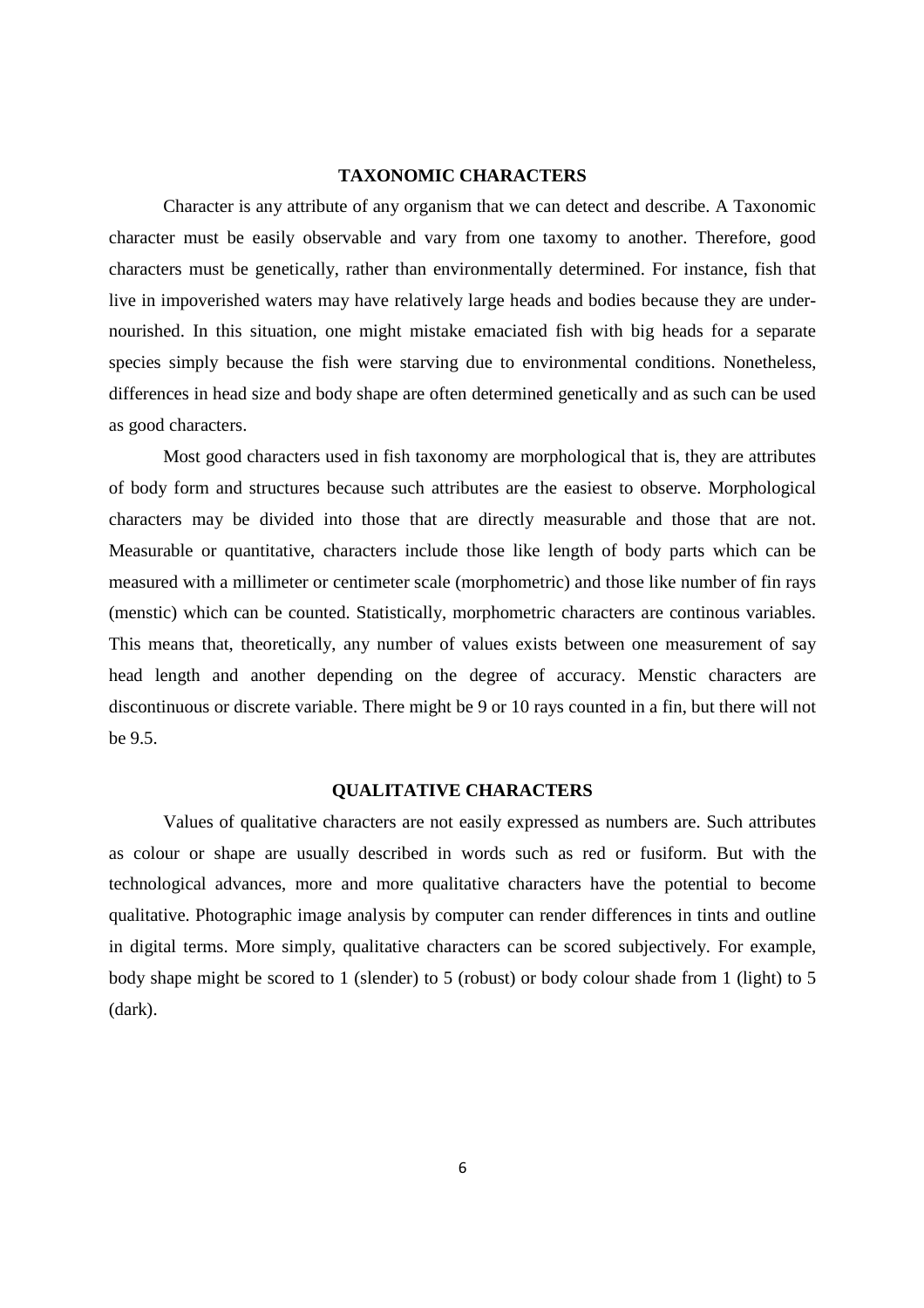#### **TAXONOMIC CHARACTERS**

 Character is any attribute of any organism that we can detect and describe. A Taxonomic character must be easily observable and vary from one taxomy to another. Therefore, good characters must be genetically, rather than environmentally determined. For instance, fish that live in impoverished waters may have relatively large heads and bodies because they are undernourished. In this situation, one might mistake emaciated fish with big heads for a separate species simply because the fish were starving due to environmental conditions. Nonetheless, differences in head size and body shape are often determined genetically and as such can be used as good characters.

 Most good characters used in fish taxonomy are morphological that is, they are attributes of body form and structures because such attributes are the easiest to observe. Morphological characters may be divided into those that are directly measurable and those that are not. Measurable or quantitative, characters include those like length of body parts which can be measured with a millimeter or centimeter scale (morphometric) and those like number of fin rays (menstic) which can be counted. Statistically, morphometric characters are continous variables. This means that, theoretically, any number of values exists between one measurement of say head length and another depending on the degree of accuracy. Menstic characters are discontinuous or discrete variable. There might be 9 or 10 rays counted in a fin, but there will not be 9.5.

#### **QUALITATIVE CHARACTERS**

 Values of qualitative characters are not easily expressed as numbers are. Such attributes as colour or shape are usually described in words such as red or fusiform. But with the technological advances, more and more qualitative characters have the potential to become qualitative. Photographic image analysis by computer can render differences in tints and outline in digital terms. More simply, qualitative characters can be scored subjectively. For example, body shape might be scored to 1 (slender) to 5 (robust) or body colour shade from 1 (light) to 5 (dark).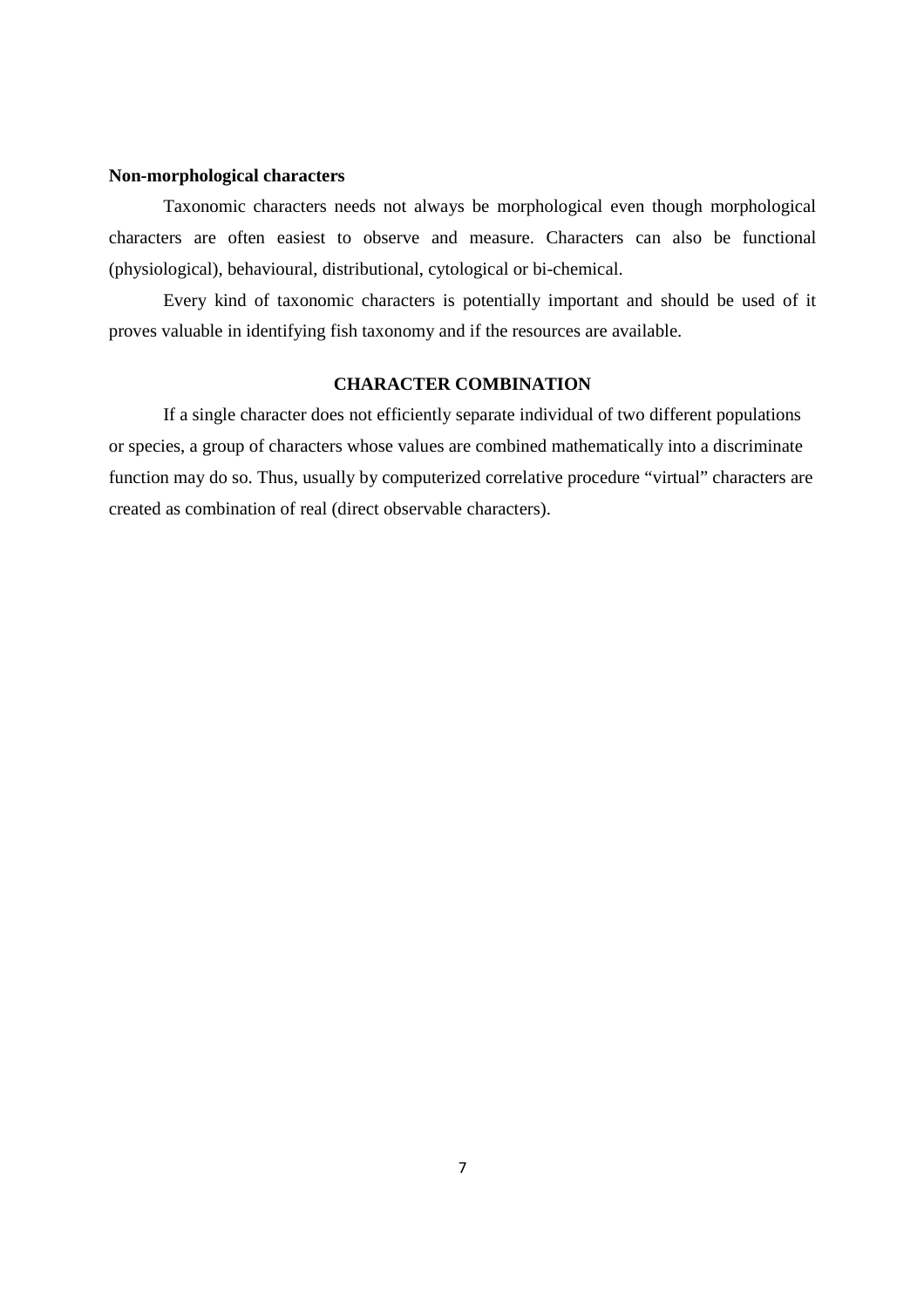#### **Non-morphological characters**

 Taxonomic characters needs not always be morphological even though morphological characters are often easiest to observe and measure. Characters can also be functional (physiological), behavioural, distributional, cytological or bi-chemical.

 Every kind of taxonomic characters is potentially important and should be used of it proves valuable in identifying fish taxonomy and if the resources are available.

#### **CHARACTER COMBINATION**

 If a single character does not efficiently separate individual of two different populations or species, a group of characters whose values are combined mathematically into a discriminate function may do so. Thus, usually by computerized correlative procedure "virtual" characters are created as combination of real (direct observable characters).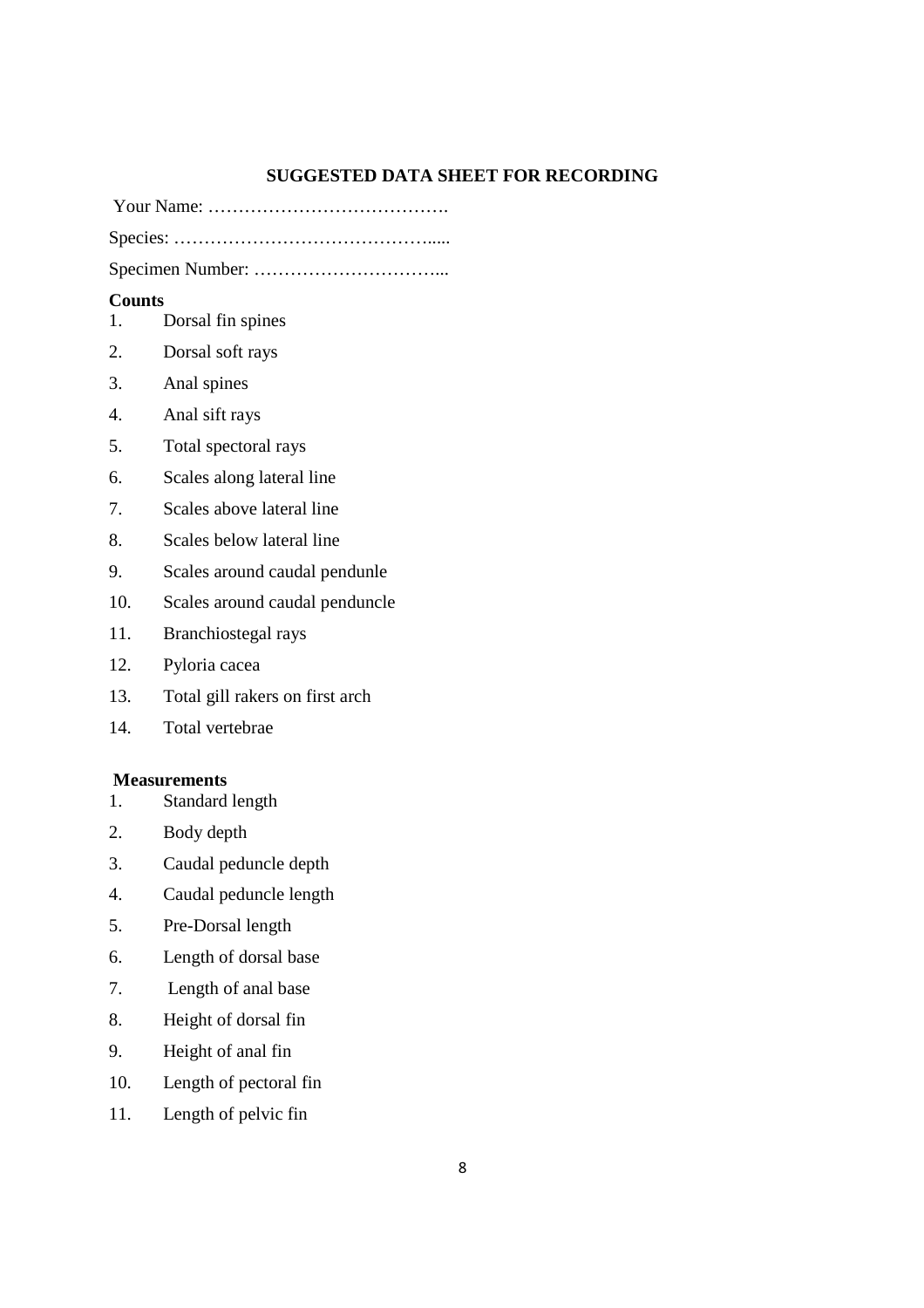#### **SUGGESTED DATA SHEET FOR RECORDING**

Your Name: ………………………………….

Species: …………………………………….....

Specimen Number: …………………………...

### **Counts**

- 1. Dorsal fin spines
- 2. Dorsal soft rays
- 3. Anal spines
- 4. Anal sift rays
- 5. Total spectoral rays
- 6. Scales along lateral line
- 7. Scales above lateral line
- 8. Scales below lateral line
- 9. Scales around caudal pendunle
- 10. Scales around caudal penduncle
- 11. Branchiostegal rays
- 12. Pyloria cacea
- 13. Total gill rakers on first arch
- 14. Total vertebrae

# **Measurements**<br>1. Standard

- Standard length
- 2. Body depth
- 3. Caudal peduncle depth
- 4. Caudal peduncle length
- 5. Pre-Dorsal length
- 6. Length of dorsal base
- 7. Length of anal base
- 8. Height of dorsal fin
- 9. Height of anal fin
- 10. Length of pectoral fin
- 11. Length of pelvic fin